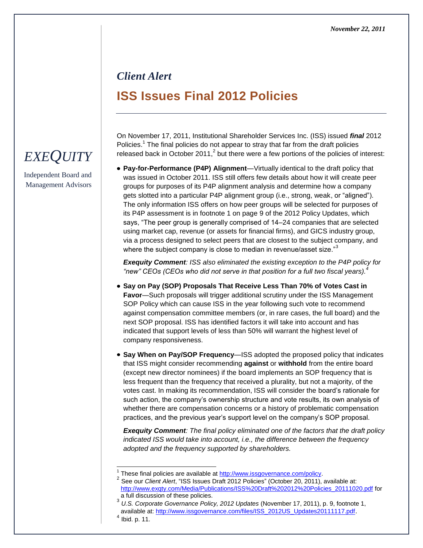## *Client Alert* **ISS Issues Final 2012 Policies**

On November 17, 2011, Institutional Shareholder Services Inc. (ISS) issued *final* 2012 Policies.<sup>1</sup> The final policies do not appear to stray that far from the draft policies released back in October 2011,<sup>2</sup> but there were a few portions of the policies of interest:

**Pay-for-Performance (P4P) Alignment**—Virtually identical to the draft policy that was issued in October 2011. ISS still offers few details about how it will create peer groups for purposes of its P4P alignment analysis and determine how a company gets slotted into a particular P4P alignment group (i.e., strong, weak, or "aligned"). The only information ISS offers on how peer groups will be selected for purposes of its P4P assessment is in footnote 1 on page 9 of the 2012 Policy Updates, which says, "The peer group is generally comprised of 14–24 companies that are selected using market cap, revenue (or assets for financial firms), and GICS industry group, via a process designed to select peers that are closest to the subject company, and where the subject company is close to median in revenue/asset size."<sup>3</sup>

*Exequity Comment: ISS also eliminated the existing exception to the P4P policy for "new" CEOs (CEOs who did not serve in that position for a full two fiscal years).<sup>4</sup>*

- **Say on Pay (SOP) Proposals That Receive Less Than 70% of Votes Cast in Favor**—Such proposals will trigger additional scrutiny under the ISS Management SOP Policy which can cause ISS in the year following such vote to recommend against compensation committee members (or, in rare cases, the full board) and the next SOP proposal. ISS has identified factors it will take into account and has indicated that support levels of less than 50% will warrant the highest level of company responsiveness.
- **Say When on Pay/SOP Frequency**—ISS adopted the proposed policy that indicates that ISS might consider recommending **against** or **withhold** from the entire board (except new director nominees) if the board implements an SOP frequency that is less frequent than the frequency that received a plurality, but not a majority, of the votes cast. In making its recommendation, ISS will consider the board's rationale for such action, the company's ownership structure and vote results, its own analysis of whether there are compensation concerns or a history of problematic compensation practices, and the previous year's support level on the company's SOP proposal.

*Exequity Comment: The final policy eliminated one of the factors that the draft policy indicated ISS would take into account, i.e., the difference between the frequency adopted and the frequency supported by shareholders.*

l

## *EXEQUITY*

Independent Board and Management Advisors

<sup>1</sup> These final policies are available at [http://www.issgovernance.com/policy.](http://www.issgovernance.com/policy)

<sup>&</sup>lt;sup>2</sup> See our *Client Alert*, "ISS Issues Draft 2012 Policies" (October 20, 2011), available at: [http://www.exqty.com/Media/Publications/ISS%20Draft%202012%20Policies\\_20111020.pdf](http://www.exqty.com/Media/Publications/ISS%20Draft%202012%20Policies_20111020.pdf) for a full discussion of these policies.

<sup>3</sup> *U.S. Corporate Governance Policy, 2012 Updates* (November 17, 2011), p. 9, footnote 1, available at[: http://www.issgovernance.com/files/ISS\\_2012US\\_Updates20111117.pdf](http://www.issgovernance.com/files/ISS_2012US_Updates20111117.pdf).

 $<sup>4</sup>$  Ibid. p. 11.</sup>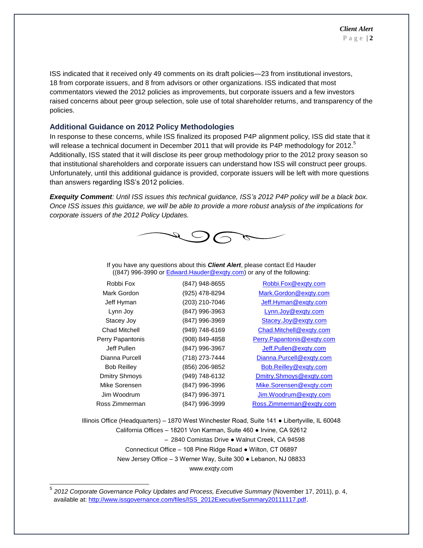ISS indicated that it received only 49 comments on its draft policies—23 from institutional investors, 18 from corporate issuers, and 8 from advisors or other organizations. ISS indicated that most commentators viewed the 2012 policies as improvements, but corporate issuers and a few investors raised concerns about peer group selection, sole use of total shareholder returns, and transparency of the policies.

## **Additional Guidance on 2012 Policy Methodologies**

In response to these concerns, while ISS finalized its proposed P4P alignment policy, ISS did state that it will release a technical document in December 2011 that will provide its P4P methodology for 2012.<sup>5</sup> Additionally, ISS stated that it will disclose its peer group methodology prior to the 2012 proxy season so that institutional shareholders and corporate issuers can understand how ISS will construct peer groups. Unfortunately, until this additional guidance is provided, corporate issuers will be left with more questions than answers regarding ISS's 2012 policies.

*Exequity Comment: Until ISS issues this technical guidance, ISS's 2012 P4P policy will be a black box. Once ISS issues this guidance, we will be able to provide a more robust analysis of the implications for corporate issuers of the 2012 Policy Updates.*



If you have any questions about this *Client Alert*, please contact Ed Hauder ((847) 996-3990 o[r Edward.Hauder@exqty.com\)](mailto:Edward.Hauder@exqty.com) or any of the following:

| Robbi Fox            | (847) 948-8655 | Robbi.Fox@exqty.com        |
|----------------------|----------------|----------------------------|
| Mark Gordon          | (925) 478-8294 | Mark.Gordon@exgty.com      |
| Jeff Hyman           | (203) 210-7046 | Jeff.Hyman@exqty.com       |
| Lynn Joy             | (847) 996-3963 | Lynn.Joy@exqty.com         |
| Stacey Joy           | (847) 996-3969 | Stacey.Joy@exqty.com       |
| <b>Chad Mitchell</b> | (949) 748-6169 | Chad.Mitchell@exqty.com    |
| Perry Papantonis     | (908) 849-4858 | Perry.Papantonis@exgty.com |
| Jeff Pullen          | (847) 996-3967 | Jeff.Pullen@exqty.com      |
| Dianna Purcell       | (718) 273-7444 | Dianna.Purcell@exqty.com   |
| <b>Bob Reilley</b>   | (856) 206-9852 | Bob.Reilley@exqty.com      |
| <b>Dmitry Shmoys</b> | (949) 748-6132 | Dmitry.Shmoys@exqty.com    |
| Mike Sorensen        | (847) 996-3996 | Mike.Sorensen@exqty.com    |
| Jim Woodrum          | (847) 996-3971 | Jim.Woodrum@exqty.com      |
| Ross Zimmerman       | (847) 996-3999 | Ross.Zimmerman@exqty.com   |

Illinois Office (Headquarters) – 1870 West Winchester Road, Suite 141 ● Libertyville, IL 60048 California Offices – 18201 Von Karman, Suite 460 ● Irvine, CA 92612 – 2840 Comistas Drive ● Walnut Creek, CA 94598 Connecticut Office – 108 Pine Ridge Road ● Wilton, CT 06897 New Jersey Office – 3 Werner Way, Suite 300 ● Lebanon, NJ 08833 www.exqty.com

 5 *2012 Corporate Governance Policy Updates and Process, Executive Summary* (November 17, 2011), p. 4, available at: [http://www.issgovernance.com/files/ISS\\_2012ExecutiveSummary20111117.pdf](http://www.issgovernance.com/files/ISS_2012ExecutiveSummary20111117.pdf).